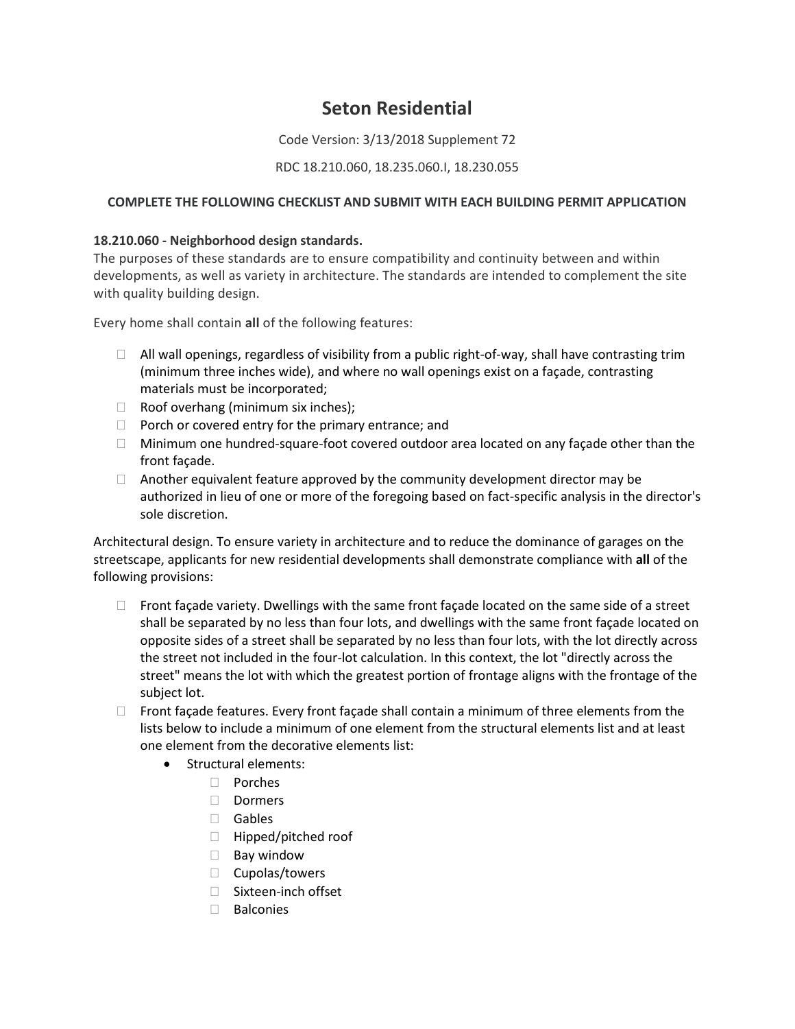# **Seton Residential**

Code Version: 3/13/2018 Supplement 72

## RDC 18.210.060, 18.235.060.I, 18.230.055

## **COMPLETE THE FOLLOWING CHECKLIST AND SUBMIT WITH EACH BUILDING PERMIT APPLICATION**

### **18.210.060 - Neighborhood design standards.**

The purposes of these standards are to ensure compatibility and continuity between and within developments, as well as variety in architecture. The standards are intended to complement the site with quality building design.

Every home shall contain **all** of the following features:

- $\Box$  All wall openings, regardless of visibility from a public right-of-way, shall have contrasting trim (minimum three inches wide), and where no wall openings exist on a façade, contrasting materials must be incorporated;
- $\Box$  Roof overhang (minimum six inches);
- $\Box$  Porch or covered entry for the primary entrance; and
- $\Box$  Minimum one hundred-square-foot covered outdoor area located on any façade other than the front façade.
- $\Box$  Another equivalent feature approved by the community development director may be authorized in lieu of one or more of the foregoing based on fact-specific analysis in the director's sole discretion.

Architectural design. To ensure variety in architecture and to reduce the dominance of garages on the streetscape, applicants for new residential developments shall demonstrate compliance with **all** of the following provisions:

- $\Box$  Front façade variety. Dwellings with the same front façade located on the same side of a street shall be separated by no less than four lots, and dwellings with the same front façade located on opposite sides of a street shall be separated by no less than four lots, with the lot directly across the street not included in the four-lot calculation. In this context, the lot "directly across the street" means the lot with which the greatest portion of frontage aligns with the frontage of the subject lot.
- $\Box$  Front façade features. Every front façade shall contain a minimum of three elements from the lists below to include a minimum of one element from the structural elements list and at least one element from the decorative elements list:
	- Structural elements:
		- Porches
		- □ Dormers
		- Gables
		- $\Box$  Hipped/pitched roof
		- $\Box$  Bay window
		- $\Box$  Cupolas/towers
		- □ Sixteen-inch offset
		- $\Box$  Balconies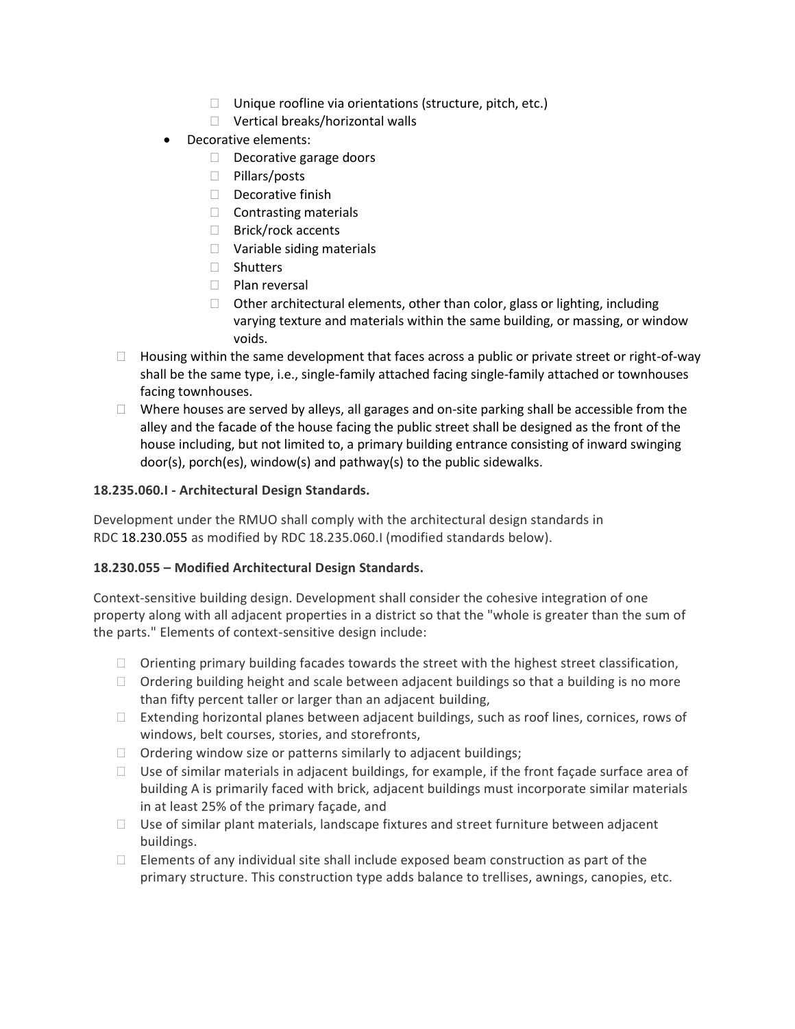- $\Box$  Unique roofline via orientations (structure, pitch, etc.)
- □ Vertical breaks/horizontal walls
- Decorative elements:
	- $\Box$  Decorative garage doors
	- □ Pillars/posts
	- Decorative finish
	- $\Box$  Contrasting materials
	- □ Brick/rock accents
	- □ Variable siding materials
	- □ Shutters
	- D Plan reversal
	- $\Box$  Other architectural elements, other than color, glass or lighting, including varying texture and materials within the same building, or massing, or window voids.
- $\Box$  Housing within the same development that faces across a public or private street or right-of-way shall be the same type, i.e., single-family attached facing single-family attached or townhouses facing townhouses.
- $\Box$  Where houses are served by alleys, all garages and on-site parking shall be accessible from the alley and the facade of the house facing the public street shall be designed as the front of the house including, but not limited to, a primary building entrance consisting of inward swinging door(s), porch(es), window(s) and pathway(s) to the public sidewalks.

# **18.235.060.I - Architectural Design Standards.**

Development under the RMUO shall comply with the architectural design standards in RDC [18.230.055](https://library.municode.com/wa/ridgefield/codes/code_of_ordinances/315253?nodeId=CO_TIT18DECO_CH18.230CODICNCCCR_18.230.055BUDEFE) as modified by RDC 18.235.060.I (modified standards below).

# **18.230.055 – Modified Architectural Design Standards.**

Context-sensitive building design. Development shall consider the cohesive integration of one property along with all adjacent properties in a district so that the "whole is greater than the sum of the parts." Elements of context-sensitive design include:

- $\Box$  Orienting primary building facades towards the street with the highest street classification,
- $\Box$  Ordering building height and scale between adjacent buildings so that a building is no more than fifty percent taller or larger than an adjacent building,
- $\Box$  Extending horizontal planes between adjacent buildings, such as roof lines, cornices, rows of windows, belt courses, stories, and storefronts,
- $\Box$  Ordering window size or patterns similarly to adjacent buildings;
- $\Box$  Use of similar materials in adjacent buildings, for example, if the front façade surface area of building A is primarily faced with brick, adjacent buildings must incorporate similar materials in at least 25% of the primary façade, and
- $\Box$  Use of similar plant materials, landscape fixtures and street furniture between adjacent buildings.
- $\Box$  Elements of any individual site shall include exposed beam construction as part of the primary structure. This construction type adds balance to trellises, awnings, canopies, etc.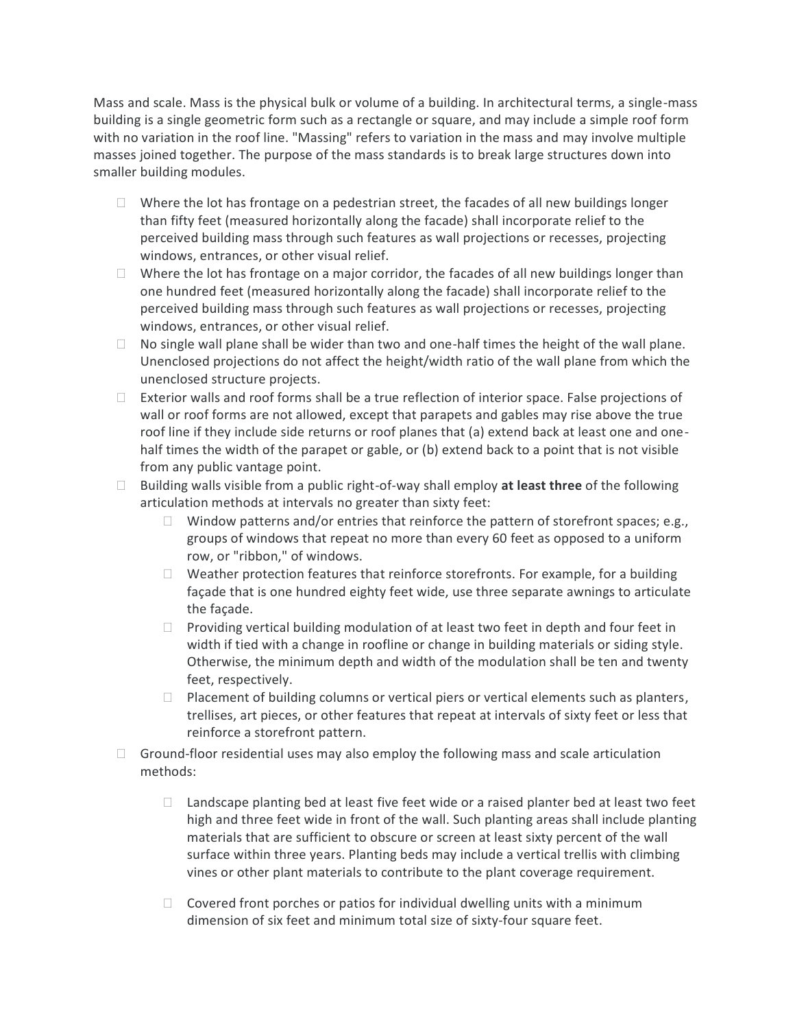Mass and scale. Mass is the physical bulk or volume of a building. In architectural terms, a single-mass building is a single geometric form such as a rectangle or square, and may include a simple roof form with no variation in the roof line. "Massing" refers to variation in the mass and may involve multiple masses joined together. The purpose of the mass standards is to break large structures down into smaller building modules.

- $\Box$  Where the lot has frontage on a pedestrian street, the facades of all new buildings longer than fifty feet (measured horizontally along the facade) shall incorporate relief to the perceived building mass through such features as wall projections or recesses, projecting windows, entrances, or other visual relief.
- $\Box$  Where the lot has frontage on a major corridor, the facades of all new buildings longer than one hundred feet (measured horizontally along the facade) shall incorporate relief to the perceived building mass through such features as wall projections or recesses, projecting windows, entrances, or other visual relief.
- $\Box$  No single wall plane shall be wider than two and one-half times the height of the wall plane. Unenclosed projections do not affect the height/width ratio of the wall plane from which the unenclosed structure projects.
- $\Box$  Exterior walls and roof forms shall be a true reflection of interior space. False projections of wall or roof forms are not allowed, except that parapets and gables may rise above the true roof line if they include side returns or roof planes that (a) extend back at least one and onehalf times the width of the parapet or gable, or (b) extend back to a point that is not visible from any public vantage point.
- Building walls visible from a public right-of-way shall employ **at least three** of the following articulation methods at intervals no greater than sixty feet:
	- Window patterns and/or entries that reinforce the pattern of storefront spaces; e.g., groups of windows that repeat no more than every 60 feet as opposed to a uniform row, or "ribbon," of windows.
	- $\Box$  Weather protection features that reinforce storefronts. For example, for a building façade that is one hundred eighty feet wide, use three separate awnings to articulate the façade.
	- $\Box$  Providing vertical building modulation of at least two feet in depth and four feet in width if tied with a change in roofline or change in building materials or siding style. Otherwise, the minimum depth and width of the modulation shall be ten and twenty feet, respectively.
	- $\Box$  Placement of building columns or vertical piers or vertical elements such as planters, trellises, art pieces, or other features that repeat at intervals of sixty feet or less that reinforce a storefront pattern.
- $\Box$  Ground-floor residential uses may also employ the following mass and scale articulation methods:
	- $\Box$  Landscape planting bed at least five feet wide or a raised planter bed at least two feet high and three feet wide in front of the wall. Such planting areas shall include planting materials that are sufficient to obscure or screen at least sixty percent of the wall surface within three years. Planting beds may include a vertical trellis with climbing vines or other plant materials to contribute to the plant coverage requirement.
	- $\Box$  Covered front porches or patios for individual dwelling units with a minimum dimension of six feet and minimum total size of sixty-four square feet.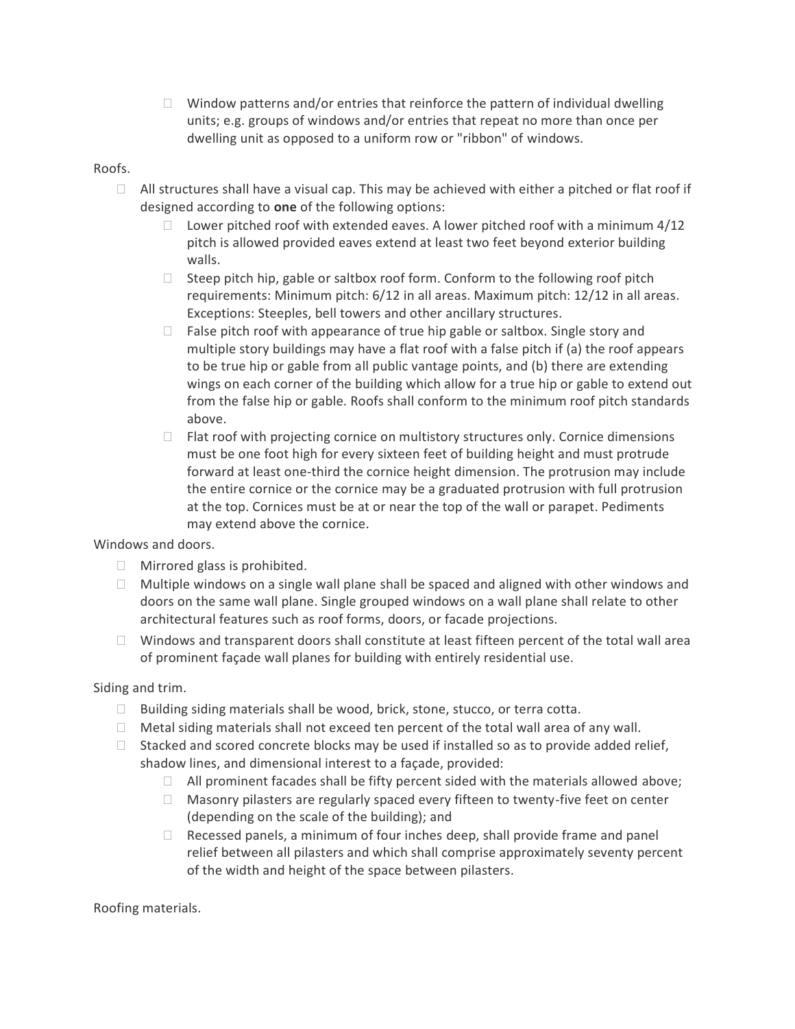$\Box$  Window patterns and/or entries that reinforce the pattern of individual dwelling units; e.g. groups of windows and/or entries that repeat no more than once per dwelling unit as opposed to a uniform row or "ribbon" of windows.

### Roofs.

- $\Box$  All structures shall have a visual cap. This may be achieved with either a pitched or flat roof if designed according to **one** of the following options:
	- $\Box$  Lower pitched roof with extended eaves. A lower pitched roof with a minimum 4/12 pitch is allowed provided eaves extend at least two feet beyond exterior building walls.
	- $\Box$  Steep pitch hip, gable or saltbox roof form. Conform to the following roof pitch requirements: Minimum pitch: 6/12 in all areas. Maximum pitch: 12/12 in all areas. Exceptions: Steeples, bell towers and other ancillary structures.
	- $\Box$  False pitch roof with appearance of true hip gable or saltbox. Single story and multiple story buildings may have a flat roof with a false pitch if (a) the roof appears to be true hip or gable from all public vantage points, and (b) there are extending wings on each corner of the building which allow for a true hip or gable to extend out from the false hip or gable. Roofs shall conform to the minimum roof pitch standards above.
	- $\Box$  Flat roof with projecting cornice on multistory structures only. Cornice dimensions must be one foot high for every sixteen feet of building height and must protrude forward at least one-third the cornice height dimension. The protrusion may include the entire cornice or the cornice may be a graduated protrusion with full protrusion at the top. Cornices must be at or near the top of the wall or parapet. Pediments may extend above the cornice.

Windows and doors.

- $\Box$  Mirrored glass is prohibited.
- $\Box$  Multiple windows on a single wall plane shall be spaced and aligned with other windows and doors on the same wall plane. Single grouped windows on a wall plane shall relate to other architectural features such as roof forms, doors, or facade projections.
- $\Box$  Windows and transparent doors shall constitute at least fifteen percent of the total wall area of prominent façade wall planes for building with entirely residential use.

Siding and trim.

- $\Box$  Building siding materials shall be wood, brick, stone, stucco, or terra cotta.
- $\Box$  Metal siding materials shall not exceed ten percent of the total wall area of any wall.
- $\Box$  Stacked and scored concrete blocks may be used if installed so as to provide added relief, shadow lines, and dimensional interest to a façade, provided:
	- $\Box$  All prominent facades shall be fifty percent sided with the materials allowed above;
	- $\Box$  Masonry pilasters are regularly spaced every fifteen to twenty-five feet on center (depending on the scale of the building); and
	- $\Box$  Recessed panels, a minimum of four inches deep, shall provide frame and panel relief between all pilasters and which shall comprise approximately seventy percent of the width and height of the space between pilasters.

Roofing materials.